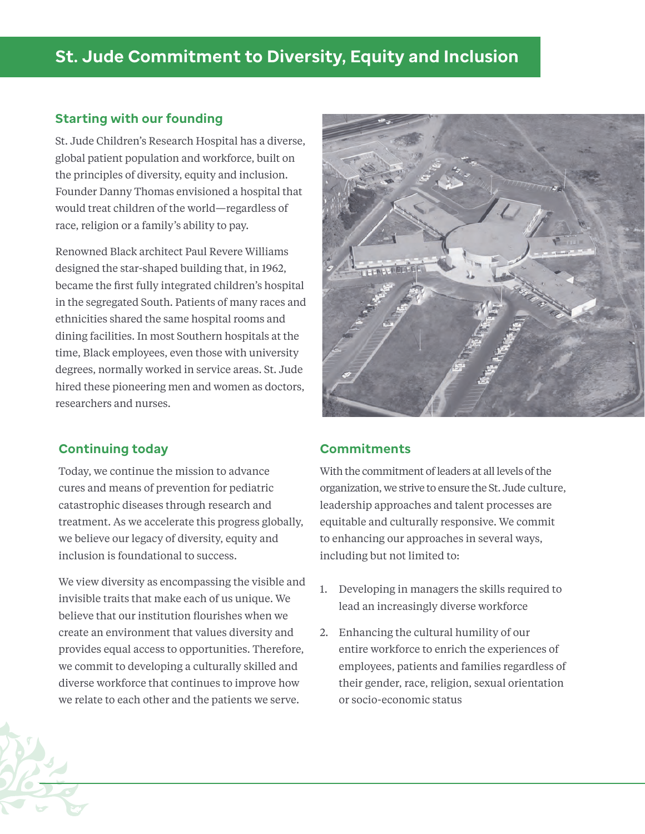# **St. Jude Commitment to Diversity, Equity and Inclusion**

#### **Starting with our founding**

St. Jude Children's Research Hospital has a diverse, global patient population and workforce, built on the principles of diversity, equity and inclusion. Founder Danny Thomas envisioned a hospital that would treat children of the world—regardless of race, religion or a family's ability to pay.

Renowned Black architect Paul Revere Williams designed the star-shaped building that, in 1962, became the first fully integrated children's hospital in the segregated South. Patients of many races and ethnicities shared the same hospital rooms and dining facilities. In most Southern hospitals at the time, Black employees, even those with university degrees, normally worked in service areas. St. Jude hired these pioneering men and women as doctors, researchers and nurses.

#### **Continuing today**

Today, we continue the mission to advance cures and means of prevention for pediatric catastrophic diseases through research and treatment. As we accelerate this progress globally, we believe our legacy of diversity, equity and inclusion is foundational to success.

We view diversity as encompassing the visible and invisible traits that make each of us unique. We believe that our institution flourishes when we create an environment that values diversity and provides equal access to opportunities. Therefore, we commit to developing a culturally skilled and diverse workforce that continues to improve how we relate to each other and the patients we serve.



#### **Commitments**

With the commitment of leaders at all levels of the organization, we strive to ensure the St. Jude culture, leadership approaches and talent processes are equitable and culturally responsive. We commit to enhancing our approaches in several ways, including but not limited to:

- 1. Developing in managers the skills required to lead an increasingly diverse workforce
- 2. Enhancing the cultural humility of our entire workforce to enrich the experiences of employees, patients and families regardless of their gender, race, religion, sexual orientation or socio-economic status